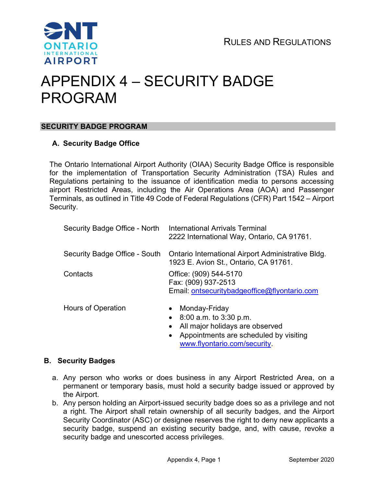

# APPENDIX 4 – SECURITY BADGE PROGRAM

# SECURITY BADGE PROGRAM

# A. Security Badge Office

The Ontario International Airport Authority (OIAA) Security Badge Office is responsible for the implementation of Transportation Security Administration (TSA) Rules and Regulations pertaining to the issuance of identification media to persons accessing airport Restricted Areas, including the Air Operations Area (AOA) and Passenger Terminals, as outlined in Title 49 Code of Federal Regulations (CFR) Part 1542 – Airport Security.

| Security Badge Office - North | International Arrivals Terminal<br>2222 International Way, Ontario, CA 91761.                            |  |
|-------------------------------|----------------------------------------------------------------------------------------------------------|--|
| Security Badge Office - South | Ontario International Airport Administrative Bldg.<br>1923 E. Avion St., Ontario, CA 91761.              |  |
| Contacts                      | Office: (909) 544-5170<br>Fax: (909) 937-2513<br>Email: ontsecuritybadgeoffice@flyontario.com            |  |
| Hours of Operation            | Monday-Friday<br>$\bullet$<br>$8:00$ a.m. to $3:30$ p.m.<br>$\bullet$<br>All major holidays are observed |  |

• Appointments are scheduled by visiting www.flyontario.com/security.

#### B. Security Badges

- a. Any person who works or does business in any Airport Restricted Area, on a permanent or temporary basis, must hold a security badge issued or approved by the Airport.
- b. Any person holding an Airport-issued security badge does so as a privilege and not a right. The Airport shall retain ownership of all security badges, and the Airport Security Coordinator (ASC) or designee reserves the right to deny new applicants a security badge, suspend an existing security badge, and, with cause, revoke a security badge and unescorted access privileges.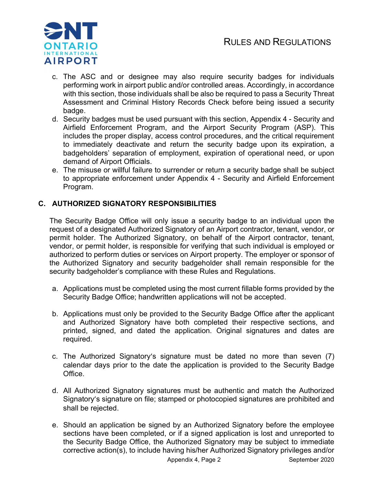

- c. The ASC and or designee may also require security badges for individuals performing work in airport public and/or controlled areas. Accordingly, in accordance with this section, those individuals shall be also be required to pass a Security Threat Assessment and Criminal History Records Check before being issued a security badge.
- d. Security badges must be used pursuant with this section, Appendix 4 Security and Airfield Enforcement Program, and the Airport Security Program (ASP). This includes the proper display, access control procedures, and the critical requirement to immediately deactivate and return the security badge upon its expiration, a badgeholders' separation of employment, expiration of operational need, or upon demand of Airport Officials.
- e. The misuse or willful failure to surrender or return a security badge shall be subject to appropriate enforcement under Appendix 4 - Security and Airfield Enforcement Program.

# C. AUTHORIZED SIGNATORY RESPONSIBILITIES

The Security Badge Office will only issue a security badge to an individual upon the request of a designated Authorized Signatory of an Airport contractor, tenant, vendor, or permit holder. The Authorized Signatory, on behalf of the Airport contractor, tenant, vendor, or permit holder, is responsible for verifying that such individual is employed or authorized to perform duties or services on Airport property. The employer or sponsor of the Authorized Signatory and security badgeholder shall remain responsible for the security badgeholder's compliance with these Rules and Regulations.

- a. Applications must be completed using the most current fillable forms provided by the Security Badge Office; handwritten applications will not be accepted.
- b. Applications must only be provided to the Security Badge Office after the applicant and Authorized Signatory have both completed their respective sections, and printed, signed, and dated the application. Original signatures and dates are required.
- c. The Authorized Signatory's signature must be dated no more than seven (7) calendar days prior to the date the application is provided to the Security Badge Office.
- d. All Authorized Signatory signatures must be authentic and match the Authorized Signatory's signature on file; stamped or photocopied signatures are prohibited and shall be rejected.
- e. Should an application be signed by an Authorized Signatory before the employee sections have been completed, or if a signed application is lost and unreported to the Security Badge Office, the Authorized Signatory may be subject to immediate corrective action(s), to include having his/her Authorized Signatory privileges and/or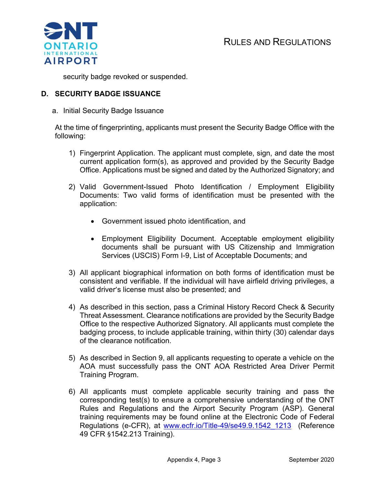

security badge revoked or suspended.

#### D. SECURITY BADGE ISSUANCE

a. Initial Security Badge Issuance

At the time of fingerprinting, applicants must present the Security Badge Office with the following:

- 1) Fingerprint Application. The applicant must complete, sign, and date the most current application form(s), as approved and provided by the Security Badge Office. Applications must be signed and dated by the Authorized Signatory; and
- 2) Valid Government-Issued Photo Identification / Employment Eligibility Documents: Two valid forms of identification must be presented with the application:
	- Government issued photo identification, and
	- Employment Eligibility Document. Acceptable employment eligibility documents shall be pursuant with US Citizenship and Immigration Services (USCIS) Form I-9, List of Acceptable Documents; and
- 3) All applicant biographical information on both forms of identification must be consistent and verifiable. If the individual will have airfield driving privileges, a valid driver's license must also be presented; and
- 4) As described in this section, pass a Criminal History Record Check & Security Threat Assessment. Clearance notifications are provided by the Security Badge Office to the respective Authorized Signatory. All applicants must complete the badging process, to include applicable training, within thirty (30) calendar days of the clearance notification.
- 5) As described in Section 9, all applicants requesting to operate a vehicle on the AOA must successfully pass the ONT AOA Restricted Area Driver Permit Training Program.
- 6) All applicants must complete applicable security training and pass the corresponding test(s) to ensure a comprehensive understanding of the ONT Rules and Regulations and the Airport Security Program (ASP). General training requirements may be found online at the Electronic Code of Federal Regulations (e-CFR), at www.ecfr.io/Title-49/se49.9.1542\_1213 (Reference 49 CFR §1542.213 Training).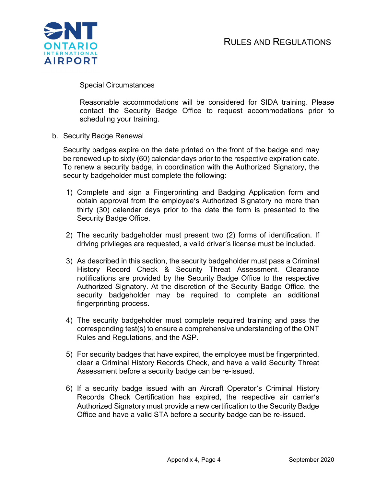

Special Circumstances

Reasonable accommodations will be considered for SIDA training. Please contact the Security Badge Office to request accommodations prior to scheduling your training.

b. Security Badge Renewal

Security badges expire on the date printed on the front of the badge and may be renewed up to sixty (60) calendar days prior to the respective expiration date. To renew a security badge, in coordination with the Authorized Signatory, the security badgeholder must complete the following:

- 1) Complete and sign a Fingerprinting and Badging Application form and obtain approval from the employee's Authorized Signatory no more than thirty (30) calendar days prior to the date the form is presented to the Security Badge Office.
- 2) The security badgeholder must present two (2) forms of identification. If driving privileges are requested, a valid driver's license must be included.
- 3) As described in this section, the security badgeholder must pass a Criminal History Record Check & Security Threat Assessment. Clearance notifications are provided by the Security Badge Office to the respective Authorized Signatory. At the discretion of the Security Badge Office, the security badgeholder may be required to complete an additional fingerprinting process.
- 4) The security badgeholder must complete required training and pass the corresponding test(s) to ensure a comprehensive understanding of the ONT Rules and Regulations, and the ASP.
- 5) For security badges that have expired, the employee must be fingerprinted, clear a Criminal History Records Check, and have a valid Security Threat Assessment before a security badge can be re-issued.
- 6) If a security badge issued with an Aircraft Operator's Criminal History Records Check Certification has expired, the respective air carrier's Authorized Signatory must provide a new certification to the Security Badge Office and have a valid STA before a security badge can be re-issued.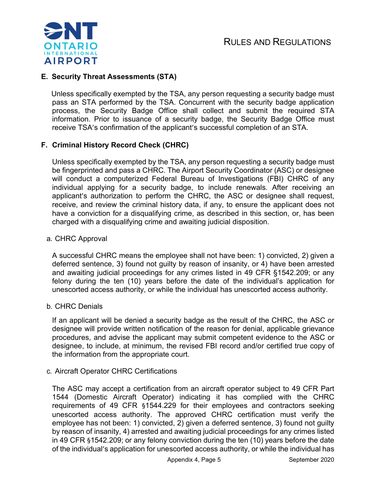

# E. Security Threat Assessments (STA)

 Unless specifically exempted by the TSA, any person requesting a security badge must pass an STA performed by the TSA. Concurrent with the security badge application process, the Security Badge Office shall collect and submit the required STA information. Prior to issuance of a security badge, the Security Badge Office must receive TSA's confirmation of the applicant's successful completion of an STA.

# F. Criminal History Record Check (CHRC)

 Unless specifically exempted by the TSA, any person requesting a security badge must be fingerprinted and pass a CHRC. The Airport Security Coordinator (ASC) or designee will conduct a computerized Federal Bureau of Investigations (FBI) CHRC of any individual applying for a security badge, to include renewals. After receiving an applicant's authorization to perform the CHRC, the ASC or designee shall request, receive, and review the criminal history data, if any, to ensure the applicant does not have a conviction for a disqualifying crime, as described in this section, or, has been charged with a disqualifying crime and awaiting judicial disposition.

#### a. CHRC Approval

 A successful CHRC means the employee shall not have been: 1) convicted, 2) given a deferred sentence, 3) found not guilty by reason of insanity, or 4) have been arrested and awaiting judicial proceedings for any crimes listed in 49 CFR §1542.209; or any felony during the ten (10) years before the date of the individual's application for unescorted access authority, or while the individual has unescorted access authority.

#### b. CHRC Denials

 If an applicant will be denied a security badge as the result of the CHRC, the ASC or designee will provide written notification of the reason for denial, applicable grievance procedures, and advise the applicant may submit competent evidence to the ASC or designee, to include, at minimum, the revised FBI record and/or certified true copy of the information from the appropriate court.

#### c. Aircraft Operator CHRC Certifications

 The ASC may accept a certification from an aircraft operator subject to 49 CFR Part 1544 (Domestic Aircraft Operator) indicating it has complied with the CHRC requirements of 49 CFR §1544.229 for their employees and contractors seeking unescorted access authority. The approved CHRC certification must verify the employee has not been: 1) convicted, 2) given a deferred sentence, 3) found not guilty by reason of insanity, 4) arrested and awaiting judicial proceedings for any crimes listed in 49 CFR §1542.209; or any felony conviction during the ten (10) years before the date of the individual's application for unescorted access authority, or while the individual has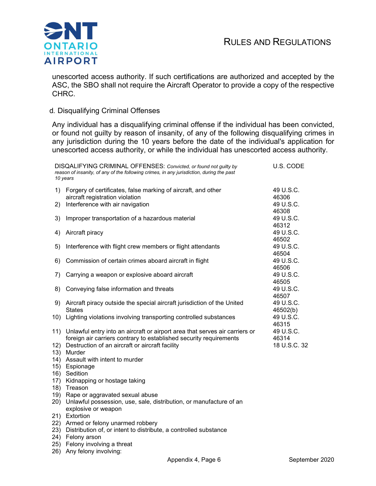

unescorted access authority. If such certifications are authorized and accepted by the ASC, the SBO shall not require the Aircraft Operator to provide a copy of the respective CHRC.

#### d. Disqualifying Criminal Offenses

Any individual has a disqualifying criminal offense if the individual has been convicted, or found not guilty by reason of insanity, of any of the following disqualifying crimes in any jurisdiction during the 10 years before the date of the individual's application for unescorted access authority, or while the individual has unescorted access authority.

| DISQALIFYING CRIMINAL OFFENSES: Convicted, or found not guilty by<br>reason of insanity, of any of the following crimes, in any jurisdiction, during the past<br>10 years |                                                                                                                                                                                                                    | U.S. CODE                          |
|---------------------------------------------------------------------------------------------------------------------------------------------------------------------------|--------------------------------------------------------------------------------------------------------------------------------------------------------------------------------------------------------------------|------------------------------------|
| 1)                                                                                                                                                                        | Forgery of certificates, false marking of aircraft, and other<br>aircraft registration violation                                                                                                                   | 49 U.S.C.<br>46306                 |
| 2)                                                                                                                                                                        | Interference with air navigation                                                                                                                                                                                   | 49 U.S.C.                          |
| 3)                                                                                                                                                                        | Improper transportation of a hazardous material                                                                                                                                                                    | 46308<br>49 U.S.C.<br>46312        |
| 4)                                                                                                                                                                        | Aircraft piracy                                                                                                                                                                                                    | 49 U.S.C.<br>46502                 |
| 5)                                                                                                                                                                        | Interference with flight crew members or flight attendants                                                                                                                                                         | 49 U.S.C.<br>46504                 |
| 6)                                                                                                                                                                        | Commission of certain crimes aboard aircraft in flight                                                                                                                                                             | 49 U.S.C.<br>46506                 |
| 7)                                                                                                                                                                        | Carrying a weapon or explosive aboard aircraft                                                                                                                                                                     | 49 U.S.C.<br>46505                 |
| 8)                                                                                                                                                                        | Conveying false information and threats                                                                                                                                                                            | 49 U.S.C.<br>46507                 |
| 9)                                                                                                                                                                        | Aircraft piracy outside the special aircraft jurisdiction of the United<br><b>States</b>                                                                                                                           | 49 U.S.C.<br>46502(b)              |
| 10)                                                                                                                                                                       | Lighting violations involving transporting controlled substances                                                                                                                                                   | 49 U.S.C.<br>46315                 |
| 12)<br>13)                                                                                                                                                                | 11) Unlawful entry into an aircraft or airport area that serves air carriers or<br>foreign air carriers contrary to established security requirements<br>Destruction of an aircraft or aircraft facility<br>Murder | 49 U.S.C.<br>46314<br>18 U.S.C. 32 |
| 14)                                                                                                                                                                       | Assault with intent to murder                                                                                                                                                                                      |                                    |
| 15)<br>16)                                                                                                                                                                | Espionage<br>Sedition                                                                                                                                                                                              |                                    |
| 17)                                                                                                                                                                       | Kidnapping or hostage taking                                                                                                                                                                                       |                                    |
| 18)                                                                                                                                                                       | Treason                                                                                                                                                                                                            |                                    |
| 19)<br>20)                                                                                                                                                                | Rape or aggravated sexual abuse<br>Unlawful possession, use, sale, distribution, or manufacture of an<br>explosive or weapon                                                                                       |                                    |
| 21)                                                                                                                                                                       | Extortion                                                                                                                                                                                                          |                                    |
| 22)                                                                                                                                                                       | Armed or felony unarmed robbery                                                                                                                                                                                    |                                    |
| 23)<br>24)                                                                                                                                                                | Distribution of, or intent to distribute, a controlled substance<br>Felony arson                                                                                                                                   |                                    |
| 25)                                                                                                                                                                       | Felony involving a threat                                                                                                                                                                                          |                                    |
|                                                                                                                                                                           |                                                                                                                                                                                                                    |                                    |

26) Any felony involving: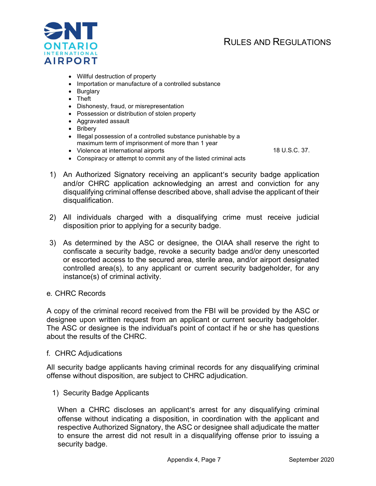# RULES AND REGULATIONS



- Willful destruction of property
- Importation or manufacture of a controlled substance
- Burglary
- Theft
- Dishonesty, fraud, or misrepresentation
- Possession or distribution of stolen property
- Aggravated assault
- Bribery
- Illegal possession of a controlled substance punishable by a maximum term of imprisonment of more than 1 year

Violence at international airports 18 U.S.C. 37.

- Conspiracy or attempt to commit any of the listed criminal acts
- 1) An Authorized Signatory receiving an applicant's security badge application and/or CHRC application acknowledging an arrest and conviction for any disqualifying criminal offense described above, shall advise the applicant of their disqualification.
- 2) All individuals charged with a disqualifying crime must receive judicial disposition prior to applying for a security badge.
- 3) As determined by the ASC or designee, the OIAA shall reserve the right to confiscate a security badge, revoke a security badge and/or deny unescorted or escorted access to the secured area, sterile area, and/or airport designated controlled area(s), to any applicant or current security badgeholder, for any instance(s) of criminal activity.

#### e. CHRC Records

A copy of the criminal record received from the FBI will be provided by the ASC or designee upon written request from an applicant or current security badgeholder. The ASC or designee is the individual's point of contact if he or she has questions about the results of the CHRC.

#### f. CHRC Adjudications

All security badge applicants having criminal records for any disqualifying criminal offense without disposition, are subject to CHRC adjudication.

1) Security Badge Applicants

When a CHRC discloses an applicant's arrest for any disqualifying criminal offense without indicating a disposition, in coordination with the applicant and respective Authorized Signatory, the ASC or designee shall adjudicate the matter to ensure the arrest did not result in a disqualifying offense prior to issuing a security badge.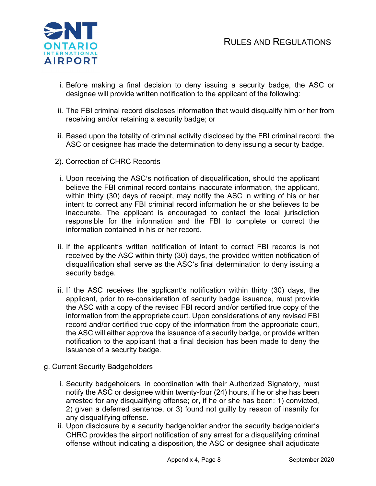

- i. Before making a final decision to deny issuing a security badge, the ASC or designee will provide written notification to the applicant of the following:
- ii. The FBI criminal record discloses information that would disqualify him or her from receiving and/or retaining a security badge; or
- iii. Based upon the totality of criminal activity disclosed by the FBI criminal record, the ASC or designee has made the determination to deny issuing a security badge.
- 2). Correction of CHRC Records
- i. Upon receiving the ASC's notification of disqualification, should the applicant believe the FBI criminal record contains inaccurate information, the applicant, within thirty (30) days of receipt, may notify the ASC in writing of his or her intent to correct any FBI criminal record information he or she believes to be inaccurate. The applicant is encouraged to contact the local jurisdiction responsible for the information and the FBI to complete or correct the information contained in his or her record.
- ii. If the applicant's written notification of intent to correct FBI records is not received by the ASC within thirty (30) days, the provided written notification of disqualification shall serve as the ASC's final determination to deny issuing a security badge.
- iii. If the ASC receives the applicant's notification within thirty (30) days, the applicant, prior to re-consideration of security badge issuance, must provide the ASC with a copy of the revised FBI record and/or certified true copy of the information from the appropriate court. Upon considerations of any revised FBI record and/or certified true copy of the information from the appropriate court, the ASC will either approve the issuance of a security badge, or provide written notification to the applicant that a final decision has been made to deny the issuance of a security badge.
- g. Current Security Badgeholders
	- i. Security badgeholders, in coordination with their Authorized Signatory, must notify the ASC or designee within twenty-four (24) hours, if he or she has been arrested for any disqualifying offense; or, if he or she has been: 1) convicted, 2) given a deferred sentence, or 3) found not guilty by reason of insanity for any disqualifying offense.
	- ii. Upon disclosure by a security badgeholder and/or the security badgeholder's CHRC provides the airport notification of any arrest for a disqualifying criminal offense without indicating a disposition, the ASC or designee shall adjudicate